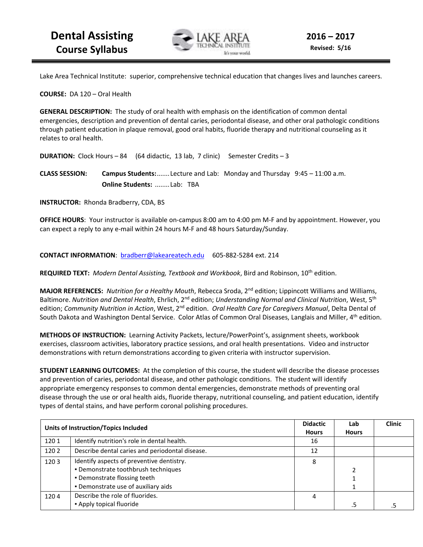

Lake Area Technical Institute: superior, comprehensive technical education that changes lives and launches careers.

**COURSE:** DA 120 – Oral Health

**GENERAL DESCRIPTION:** The study of oral health with emphasis on the identification of common dental emergencies, description and prevention of dental caries, periodontal disease, and other oral pathologic conditions through patient education in plaque removal, good oral habits, fluoride therapy and nutritional counseling as it relates to oral health.

**DURATION:** Clock Hours – 84 (64 didactic, 13 lab, 7 clinic) Semester Credits – 3

**CLASS SESSION: Campus Students:** ....... Lecture and Lab: Monday and Thursday 9:45 – 11:00 a.m. **Online Students:** ........ Lab: TBA

**INSTRUCTOR:** Rhonda Bradberry, CDA, BS

**OFFICE HOURS**: Your instructor is available on-campus 8:00 am to 4:00 pm M-F and by appointment. However, you can expect a reply to any e-mail within 24 hours M-F and 48 hours Saturday/Sunday.

**CONTACT INFORMATION**: bradberr@lakeareatech.edu 605-882-5284 ext. 214

**REQUIRED TEXT:** *Modern Dental Assisting, Textbook and Workbook*, Bird and Robinson, 10th edition.

**MAJOR REFERENCES:** *Nutrition for a Healthy Mouth*, Rebecca Sroda, 2nd edition; Lippincott Williams and Williams, Baltimore. *Nutrition and Dental Health*, Ehrlich, 2nd edition; *Understanding Normal and Clinical Nutrition*, West, 5th edition; *Community Nutrition in Action*, West, 2nd edition. *Oral Health Care for Caregivers Manual*, Delta Dental of South Dakota and Washington Dental Service. Color Atlas of Common Oral Diseases, Langlais and Miller, 4<sup>th</sup> edition.

**METHODS OF INSTRUCTION:** Learning Activity Packets, lecture/PowerPoint's, assignment sheets, workbook exercises, classroom activities, laboratory practice sessions, and oral health presentations. Video and instructor demonstrations with return demonstrations according to given criteria with instructor supervision.

**STUDENT LEARNING OUTCOMES:** At the completion of this course, the student will describe the disease processes and prevention of caries, periodontal disease, and other pathologic conditions. The student will identify appropriate emergency responses to common dental emergencies, demonstrate methods of preventing oral disease through the use or oral health aids, fluoride therapy, nutritional counseling, and patient education, identify types of dental stains, and have perform coronal polishing procedures.

| <b>Units of Instruction/Topics Included</b> |                                                 | <b>Didactic</b> | Lab          | <b>Clinic</b> |
|---------------------------------------------|-------------------------------------------------|-----------------|--------------|---------------|
|                                             |                                                 | <b>Hours</b>    | <b>Hours</b> |               |
| 1201                                        | Identify nutrition's role in dental health.     | 16              |              |               |
| 1202                                        | Describe dental caries and periodontal disease. | 12              |              |               |
| 1203                                        | Identify aspects of preventive dentistry.       | 8               |              |               |
|                                             | . Demonstrate toothbrush techniques             |                 |              |               |
|                                             | • Demonstrate flossing teeth                    |                 |              |               |
|                                             | . Demonstrate use of auxiliary aids             |                 |              |               |
| 1204                                        | Describe the role of fluorides.                 | 4               |              |               |
|                                             | • Apply topical fluoride                        |                 |              |               |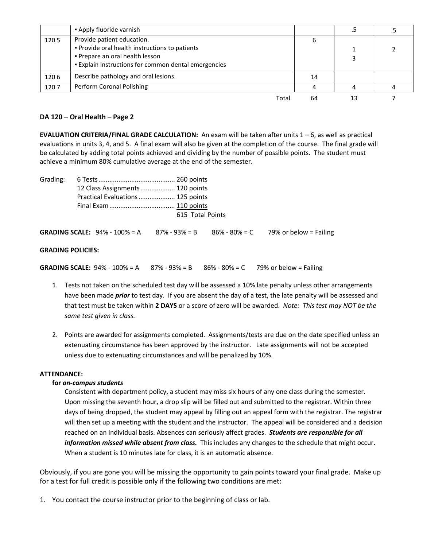|      | • Apply fluoride varnish                                                                                                                                                     |    |  |
|------|------------------------------------------------------------------------------------------------------------------------------------------------------------------------------|----|--|
| 1205 | Provide patient education.<br>. Provide oral health instructions to patients<br>. Prepare an oral health lesson<br><b>Explain instructions for common dental emergencies</b> |    |  |
| 1206 | Describe pathology and oral lesions.                                                                                                                                         | 14 |  |
| 1207 | Perform Coronal Polishing                                                                                                                                                    |    |  |
|      | Total                                                                                                                                                                        | 64 |  |

## **DA 120 – Oral Health – Page 2**

**EVALUATION CRITERIA/FINAL GRADE CALCULATION:** An exam will be taken after units 1 – 6, as well as practical evaluations in units 3, 4, and 5. A final exam will also be given at the completion of the course. The final grade will be calculated by adding total points achieved and dividing by the number of possible points. The student must achieve a minimum 80% cumulative average at the end of the semester.

| Grading: |                                          |                   |                                          |
|----------|------------------------------------------|-------------------|------------------------------------------|
|          | 12 Class Assignments  120 points         |                   |                                          |
|          | Practical Evaluations  125 points        |                   |                                          |
|          |                                          |                   |                                          |
|          |                                          | 615 Total Points  |                                          |
|          | <b>GRADING SCALE:</b> $94\% - 100\% = A$ | $87\% - 93\% = B$ | $86\% - 80\% = C$ 79% or below = Failing |

#### **GRADING POLICIES:**

**GRADING SCALE:** 94% - 100% = A  $87%$  - 93% = B  $86%$  - 80% = C 79% or below = Failing

- 1. Tests not taken on the scheduled test day will be assessed a 10% late penalty unless other arrangements have been made *prior* to test day. If you are absent the day of a test, the late penalty will be assessed and that test must be taken within **2 DAYS** or a score of zero will be awarded. *Note: This test may NOT be the same test given in class.*
- 2. Points are awarded for assignments completed. Assignments/tests are due on the date specified unless an extenuating circumstance has been approved by the instructor. Late assignments will not be accepted unless due to extenuating circumstances and will be penalized by 10%.

#### **ATTENDANCE:**

## **for** *on-campus students*

Consistent with department policy, a student may miss six hours of any one class during the semester. Upon missing the seventh hour, a drop slip will be filled out and submitted to the registrar. Within three days of being dropped, the student may appeal by filling out an appeal form with the registrar. The registrar will then set up a meeting with the student and the instructor. The appeal will be considered and a decision reached on an individual basis. Absences can seriously affect grades. *Students are responsible for all information missed while absent from class.* This includes any changes to the schedule that might occur. When a student is 10 minutes late for class, it is an automatic absence.

Obviously, if you are gone you will be missing the opportunity to gain points toward your final grade. Make up for a test for full credit is possible only if the following two conditions are met:

1. You contact the course instructor prior to the beginning of class or lab.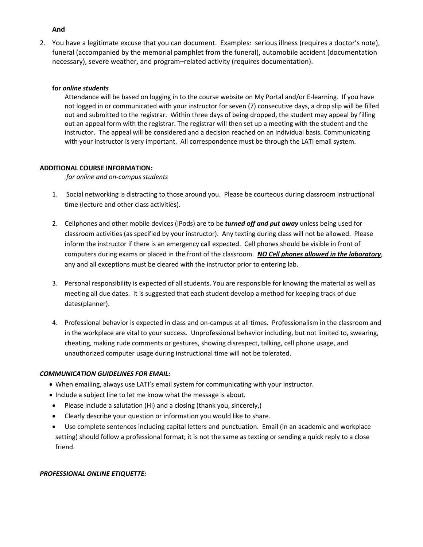#### **And**

2. You have a legitimate excuse that you can document. Examples: serious illness (requires a doctor's note), funeral (accompanied by the memorial pamphlet from the funeral), automobile accident (documentation necessary), severe weather, and program–related activity (requires documentation).

#### **for** *online students*

Attendance will be based on logging in to the course website on My Portal and/or E-learning. If you have not logged in or communicated with your instructor for seven (7) consecutive days, a drop slip will be filled out and submitted to the registrar. Within three days of being dropped, the student may appeal by filling out an appeal form with the registrar. The registrar will then set up a meeting with the student and the instructor. The appeal will be considered and a decision reached on an individual basis. Communicating with your instructor is very important. All correspondence must be through the LATI email system.

## **ADDITIONAL COURSE INFORMATION:**

*for online and on-campus students* 

- 1. Social networking is distracting to those around you. Please be courteous during classroom instructional time (lecture and other class activities).
- 2. Cellphones and other mobile devices (iPods) are to be *turned off and put away* unless being used for classroom activities (as specified by your instructor). Any texting during class will not be allowed. Please inform the instructor if there is an emergency call expected. Cell phones should be visible in front of computers during exams or placed in the front of the classroom. *NO Cell phones allowed in the laboratory*, any and all exceptions must be cleared with the instructor prior to entering lab.
- 3. Personal responsibility is expected of all students. You are responsible for knowing the material as well as meeting all due dates. It is suggested that each student develop a method for keeping track of due dates(planner).
- 4. Professional behavior is expected in class and on-campus at all times. Professionalism in the classroom and in the workplace are vital to your success. Unprofessional behavior including, but not limited to, swearing, cheating, making rude comments or gestures, showing disrespect, talking, cell phone usage, and unauthorized computer usage during instructional time will not be tolerated.

## *COMMUNICATION GUIDELINES FOR EMAIL:*

- When emailing, always use LATI's email system for communicating with your instructor.
- Include a subject line to let me know what the message is about.
- Please include a salutation (Hi) and a closing (thank you, sincerely,)
- Clearly describe your question or information you would like to share.
- Use complete sentences including capital letters and punctuation. Email (in an academic and workplace setting) should follow a professional format; it is not the same as texting or sending a quick reply to a close friend.

#### *PROFESSIONAL ONLINE ETIQUETTE:*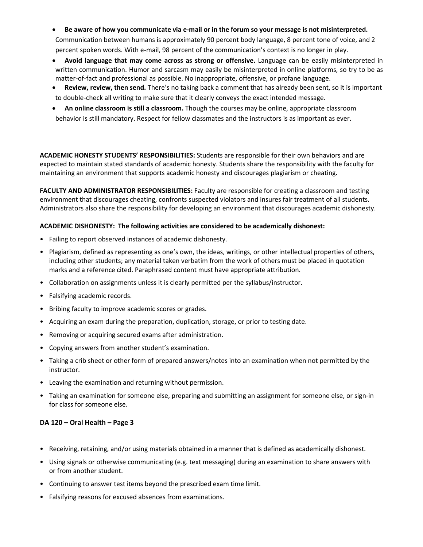• **Be aware of how you communicate via e-mail or in the forum so your message is not misinterpreted.**

Communication between humans is approximately 90 percent body language, 8 percent tone of voice, and 2 percent spoken words. With e-mail, 98 percent of the communication's context is no longer in play.

- **Avoid language that may come across as strong or offensive.** Language can be easily misinterpreted in written communication. Humor and sarcasm may easily be misinterpreted in online platforms, so try to be as matter-of-fact and professional as possible. No inappropriate, offensive, or profane language.
- **Review, review, then send.** There's no taking back a comment that has already been sent, so it is important to double-check all writing to make sure that it clearly conveys the exact intended message.
- **An online classroom is still a classroom.** Though the courses may be online, appropriate classroom behavior is still mandatory. Respect for fellow classmates and the instructors is as important as ever.

**ACADEMIC HONESTY STUDENTS' RESPONSIBILITIES:** Students are responsible for their own behaviors and are expected to maintain stated standards of academic honesty. Students share the responsibility with the faculty for maintaining an environment that supports academic honesty and discourages plagiarism or cheating.

**FACULTY AND ADMINISTRATOR RESPONSIBILITIES:** Faculty are responsible for creating a classroom and testing environment that discourages cheating, confronts suspected violators and insures fair treatment of all students. Administrators also share the responsibility for developing an environment that discourages academic dishonesty.

## **ACADEMIC DISHONESTY: The following activities are considered to be academically dishonest:**

- Failing to report observed instances of academic dishonesty.
- Plagiarism, defined as representing as one's own, the ideas, writings, or other intellectual properties of others, including other students; any material taken verbatim from the work of others must be placed in quotation marks and a reference cited. Paraphrased content must have appropriate attribution.
- Collaboration on assignments unless it is clearly permitted per the syllabus/instructor.
- Falsifying academic records.
- Bribing faculty to improve academic scores or grades.
- Acquiring an exam during the preparation, duplication, storage, or prior to testing date.
- Removing or acquiring secured exams after administration.
- Copying answers from another student's examination.
- Taking a crib sheet or other form of prepared answers/notes into an examination when not permitted by the instructor.
- Leaving the examination and returning without permission.
- Taking an examination for someone else, preparing and submitting an assignment for someone else, or sign-in for class for someone else.

## **DA 120 – Oral Health – Page 3**

- Receiving, retaining, and/or using materials obtained in a manner that is defined as academically dishonest.
- Using signals or otherwise communicating (e.g. text messaging) during an examination to share answers with or from another student.
- Continuing to answer test items beyond the prescribed exam time limit.
- Falsifying reasons for excused absences from examinations.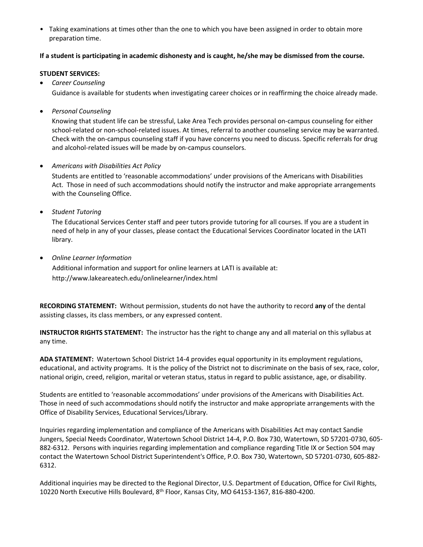• Taking examinations at times other than the one to which you have been assigned in order to obtain more preparation time.

## **If a student is participating in academic dishonesty and is caught, he/she may be dismissed from the course.**

#### **STUDENT SERVICES:**

• *Career Counseling* 

Guidance is available for students when investigating career choices or in reaffirming the choice already made.

• *Personal Counseling* 

Knowing that student life can be stressful, Lake Area Tech provides personal on-campus counseling for either school-related or non-school-related issues. At times, referral to another counseling service may be warranted. Check with the on-campus counseling staff if you have concerns you need to discuss. Specific referrals for drug and alcohol-related issues will be made by on-campus counselors.

## • *Americans with Disabilities Act Policy*

Students are entitled to 'reasonable accommodations' under provisions of the Americans with Disabilities Act. Those in need of such accommodations should notify the instructor and make appropriate arrangements with the Counseling Office.

• *Student Tutoring* 

The Educational Services Center staff and peer tutors provide tutoring for all courses. If you are a student in need of help in any of your classes, please contact the Educational Services Coordinator located in the LATI library.

• *Online Learner Information* 

Additional information and support for online learners at LATI is available at: http://www.lakeareatech.edu/onlinelearner/index.html

**RECORDING STATEMENT:** Without permission, students do not have the authority to record **any** of the dental assisting classes, its class members, or any expressed content.

**INSTRUCTOR RIGHTS STATEMENT:** The instructor has the right to change any and all material on this syllabus at any time.

**ADA STATEMENT:** Watertown School District 14-4 provides equal opportunity in its employment regulations, educational, and activity programs. It is the policy of the District not to discriminate on the basis of sex, race, color, national origin, creed, religion, marital or veteran status, status in regard to public assistance, age, or disability.

Students are entitled to 'reasonable accommodations' under provisions of the Americans with Disabilities Act. Those in need of such accommodations should notify the instructor and make appropriate arrangements with the Office of Disability Services, Educational Services/Library.

Inquiries regarding implementation and compliance of the Americans with Disabilities Act may contact Sandie Jungers, Special Needs Coordinator, Watertown School District 14-4, P.O. Box 730, Watertown, SD 57201-0730, 605- 882-6312. Persons with inquiries regarding implementation and compliance regarding Title IX or Section 504 may contact the Watertown School District Superintendent's Office, P.O. Box 730, Watertown, SD 57201-0730, 605-882- 6312.

Additional inquiries may be directed to the Regional Director, U.S. Department of Education, Office for Civil Rights, 10220 North Executive Hills Boulevard, 8th Floor, Kansas City, MO 64153-1367, 816-880-4200.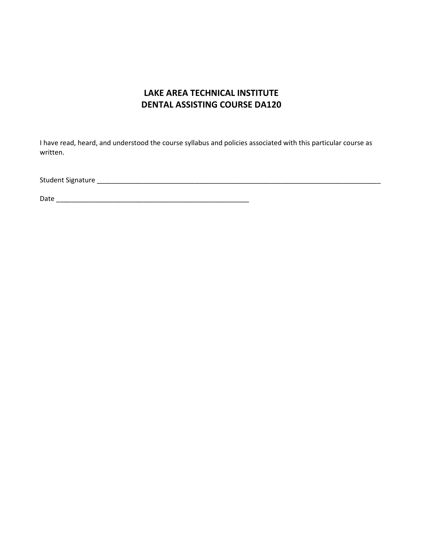# **LAKE AREA TECHNICAL INSTITUTE DENTAL ASSISTING COURSE DA120**

I have read, heard, and understood the course syllabus and policies associated with this particular course as written.

Student Signature \_\_\_\_\_\_\_\_\_\_\_\_\_\_\_\_\_\_\_\_\_\_\_\_\_\_\_\_\_\_\_\_\_\_\_\_\_\_\_\_\_\_\_\_\_\_\_\_\_\_\_\_\_\_\_\_\_\_\_\_\_\_\_\_\_\_\_\_\_\_\_\_\_\_\_

Date \_\_\_\_\_\_\_\_\_\_\_\_\_\_\_\_\_\_\_\_\_\_\_\_\_\_\_\_\_\_\_\_\_\_\_\_\_\_\_\_\_\_\_\_\_\_\_\_\_\_\_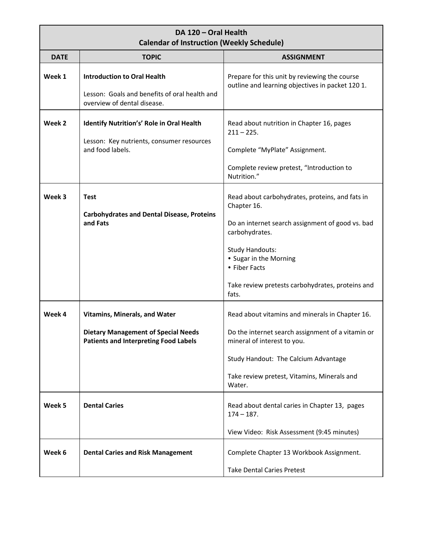## **DA 120 – Oral Health Calendar of Instruction (Weekly Schedule)**

| <b>DATE</b> | <b>TOPIC</b>                                                                                                                       | <b>ASSIGNMENT</b>                                                                                                                                                                                                                                                      |
|-------------|------------------------------------------------------------------------------------------------------------------------------------|------------------------------------------------------------------------------------------------------------------------------------------------------------------------------------------------------------------------------------------------------------------------|
| Week 1      | <b>Introduction to Oral Health</b><br>Lesson: Goals and benefits of oral health and<br>overview of dental disease.                 | Prepare for this unit by reviewing the course<br>outline and learning objectives in packet 120 1.                                                                                                                                                                      |
| Week 2      | Identify Nutrition's' Role in Oral Health<br>Lesson: Key nutrients, consumer resources<br>and food labels.                         | Read about nutrition in Chapter 16, pages<br>$211 - 225.$<br>Complete "MyPlate" Assignment.<br>Complete review pretest, "Introduction to<br>Nutrition."                                                                                                                |
| Week 3      | <b>Test</b><br><b>Carbohydrates and Dental Disease, Proteins</b><br>and Fats                                                       | Read about carbohydrates, proteins, and fats in<br>Chapter 16.<br>Do an internet search assignment of good vs. bad<br>carbohydrates.<br><b>Study Handouts:</b><br>• Sugar in the Morning<br>• Fiber Facts<br>Take review pretests carbohydrates, proteins and<br>fats. |
| Week 4      | <b>Vitamins, Minerals, and Water</b><br><b>Dietary Management of Special Needs</b><br><b>Patients and Interpreting Food Labels</b> | Read about vitamins and minerals in Chapter 16.<br>Do the internet search assignment of a vitamin or<br>mineral of interest to you.<br>Study Handout: The Calcium Advantage<br>Take review pretest, Vitamins, Minerals and<br>Water.                                   |
| Week 5      | <b>Dental Caries</b>                                                                                                               | Read about dental caries in Chapter 13, pages<br>$174 - 187$ .<br>View Video: Risk Assessment (9:45 minutes)                                                                                                                                                           |
| Week 6      | <b>Dental Caries and Risk Management</b>                                                                                           | Complete Chapter 13 Workbook Assignment.<br><b>Take Dental Caries Pretest</b>                                                                                                                                                                                          |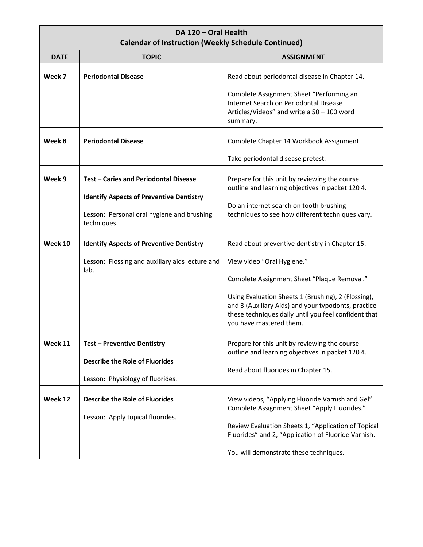| DA 120 - Oral Health<br><b>Calendar of Instruction (Weekly Schedule Continued)</b> |                                                                                                                                                       |                                                                                                                                                                                               |  |
|------------------------------------------------------------------------------------|-------------------------------------------------------------------------------------------------------------------------------------------------------|-----------------------------------------------------------------------------------------------------------------------------------------------------------------------------------------------|--|
| <b>DATE</b>                                                                        | <b>TOPIC</b>                                                                                                                                          | <b>ASSIGNMENT</b>                                                                                                                                                                             |  |
| Week 7                                                                             | <b>Periodontal Disease</b>                                                                                                                            | Read about periodontal disease in Chapter 14.                                                                                                                                                 |  |
|                                                                                    |                                                                                                                                                       | Complete Assignment Sheet "Performing an<br>Internet Search on Periodontal Disease<br>Articles/Videos" and write a 50 - 100 word<br>summary.                                                  |  |
| Week 8                                                                             | <b>Periodontal Disease</b>                                                                                                                            | Complete Chapter 14 Workbook Assignment.                                                                                                                                                      |  |
|                                                                                    |                                                                                                                                                       | Take periodontal disease pretest.                                                                                                                                                             |  |
| Week 9                                                                             | Test - Caries and Periodontal Disease<br><b>Identify Aspects of Preventive Dentistry</b><br>Lesson: Personal oral hygiene and brushing<br>techniques. | Prepare for this unit by reviewing the course<br>outline and learning objectives in packet 120 4.                                                                                             |  |
|                                                                                    |                                                                                                                                                       | Do an internet search on tooth brushing<br>techniques to see how different techniques vary.                                                                                                   |  |
| Week 10                                                                            | <b>Identify Aspects of Preventive Dentistry</b>                                                                                                       | Read about preventive dentistry in Chapter 15.                                                                                                                                                |  |
|                                                                                    | Lesson: Flossing and auxiliary aids lecture and<br>lab.                                                                                               | View video "Oral Hygiene."                                                                                                                                                                    |  |
|                                                                                    |                                                                                                                                                       | Complete Assignment Sheet "Plaque Removal."                                                                                                                                                   |  |
|                                                                                    |                                                                                                                                                       | Using Evaluation Sheets 1 (Brushing), 2 (Flossing),<br>and 3 (Auxiliary Aids) and your typodonts, practice<br>these techniques daily until you feel confident that<br>you have mastered them. |  |
| Week 11                                                                            | <b>Test - Preventive Dentistry</b><br><b>Describe the Role of Fluorides</b>                                                                           | Prepare for this unit by reviewing the course<br>outline and learning objectives in packet 120 4.<br>Read about fluorides in Chapter 15.                                                      |  |
|                                                                                    | Lesson: Physiology of fluorides.                                                                                                                      |                                                                                                                                                                                               |  |
| Week 12                                                                            | <b>Describe the Role of Fluorides</b><br>Lesson: Apply topical fluorides.                                                                             | View videos, "Applying Fluoride Varnish and Gel"<br>Complete Assignment Sheet "Apply Fluorides."<br>Review Evaluation Sheets 1, "Application of Topical                                       |  |
|                                                                                    |                                                                                                                                                       | Fluorides" and 2, "Application of Fluoride Varnish.<br>You will demonstrate these techniques.                                                                                                 |  |